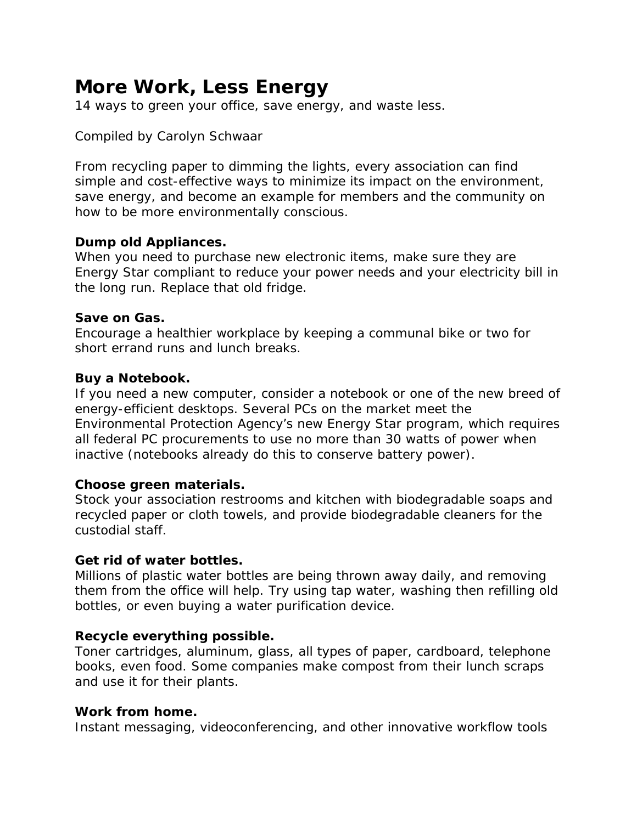# **More Work, Less Energy**

14 ways to green your office, save energy, and waste less.

# Compiled by Carolyn Schwaar

From recycling paper to dimming the lights, every association can find simple and cost-effective ways to minimize its impact on the environment, save energy, and become an example for members and the community on how to be more environmentally conscious.

#### **Dump old Appliances.**

When you need to purchase new electronic items, make sure they are Energy Star compliant to reduce your power needs and your electricity bill in the long run. Replace that old fridge.

#### **Save on Gas.**

Encourage a healthier workplace by keeping a communal bike or two for short errand runs and lunch breaks.

#### **Buy a Notebook.**

If you need a new computer, consider a notebook or one of the new breed of energy-efficient desktops. Several PCs on the market meet the Environmental Protection Agency's new Energy Star program, which requires all federal PC procurements to use no more than 30 watts of power when inactive (notebooks already do this to conserve battery power).

#### **Choose green materials.**

Stock your association restrooms and kitchen with biodegradable soaps and recycled paper or cloth towels, and provide biodegradable cleaners for the custodial staff.

# **Get rid of water bottles.**

Millions of plastic water bottles are being thrown away daily, and removing them from the office will help. Try using tap water, washing then refilling old bottles, or even buying a water purification device.

# **Recycle everything possible.**

Toner cartridges, aluminum, glass, all types of paper, cardboard, telephone books, even food. Some companies make compost from their lunch scraps and use it for their plants.

#### **Work from home.**

Instant messaging, videoconferencing, and other innovative workflow tools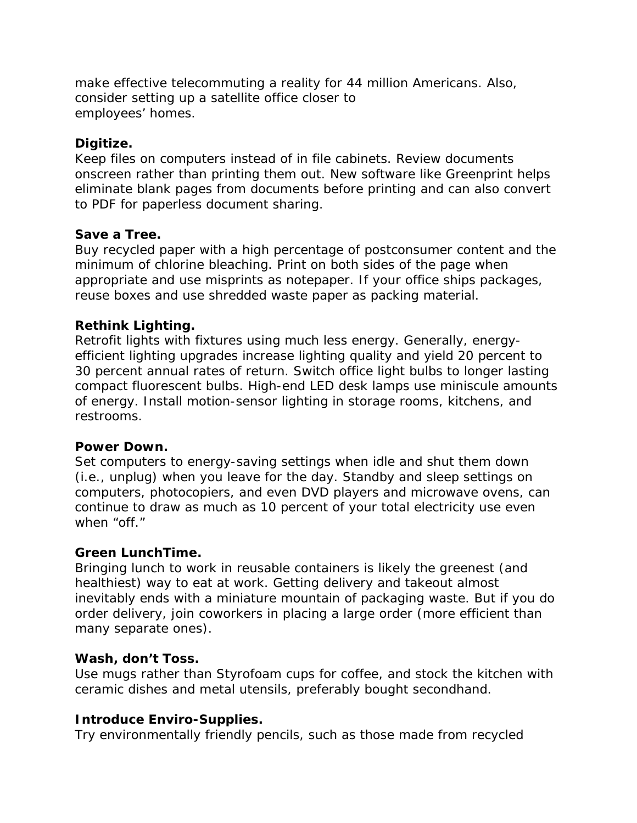make effective telecommuting a reality for 44 million Americans. Also, consider setting up a satellite office closer to employees' homes.

# **Digitize.**

Keep files on computers instead of in file cabinets. Review documents onscreen rather than printing them out. New software like Greenprint helps eliminate blank pages from documents before printing and can also convert to PDF for paperless document sharing.

# **Save a Tree.**

Buy recycled paper with a high percentage of postconsumer content and the minimum of chlorine bleaching. Print on both sides of the page when appropriate and use misprints as notepaper. If your office ships packages, reuse boxes and use shredded waste paper as packing material.

# **Rethink Lighting.**

Retrofit lights with fixtures using much less energy. Generally, energyefficient lighting upgrades increase lighting quality and yield 20 percent to 30 percent annual rates of return. Switch office light bulbs to longer lasting compact fluorescent bulbs. High-end LED desk lamps use miniscule amounts of energy. Install motion-sensor lighting in storage rooms, kitchens, and restrooms.

# **Power Down.**

Set computers to energy-saving settings when idle and shut them down (i.e., unplug) when you leave for the day. Standby and sleep settings on computers, photocopiers, and even DVD players and microwave ovens, can continue to draw as much as 10 percent of your total electricity use even when "off."

# **Green LunchTime.**

Bringing lunch to work in reusable containers is likely the greenest (and healthiest) way to eat at work. Getting delivery and takeout almost inevitably ends with a miniature mountain of packaging waste. But if you do order delivery, join coworkers in placing a large order (more efficient than many separate ones).

# **Wash, don't Toss.**

Use mugs rather than Styrofoam cups for coffee, and stock the kitchen with ceramic dishes and metal utensils, preferably bought secondhand.

# **Introduce Enviro-Supplies.**

Try environmentally friendly pencils, such as those made from recycled